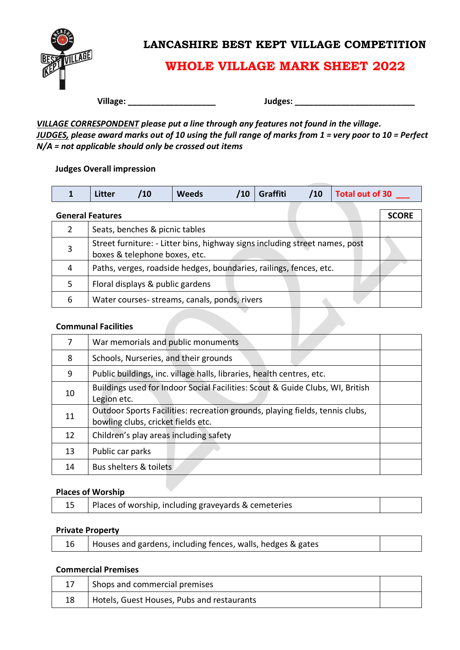

### **LANCASHIRE BEST KEPT VILLAGE COMPETITION**

# **WHOLE VILLAGE MARK SHEET 2022**

**Village: Village:** *PHONO* 

*VILLAGE CORRESPONDENT please put a line through any features not found in the village. JUDGES, please award marks out of 10 using the full range of marks from 1 = very poor to 10 = Perfect N/A = not applicable should only be crossed out items*

#### **Judges Overall impression**

|               | <b>Litter</b>           | /10                              | <b>Weeds</b>                                                                | <b>Graffiti</b> | /10 | <b>Total out of 30</b> |              |
|---------------|-------------------------|----------------------------------|-----------------------------------------------------------------------------|-----------------|-----|------------------------|--------------|
|               | <b>General Features</b> |                                  |                                                                             |                 |     |                        | <b>SCORE</b> |
| $\mathcal{L}$ |                         | Seats, benches & picnic tables   |                                                                             |                 |     |                        |              |
|               |                         | boxes & telephone boxes, etc.    | Street furniture: - Litter bins, highway signs including street names, post |                 |     |                        |              |
| 4             |                         |                                  | Paths, verges, roadside hedges, boundaries, railings, fences, etc.          |                 |     |                        |              |
| 5             |                         | Floral displays & public gardens |                                                                             |                 |     |                        |              |
| 6             |                         |                                  | Water courses- streams, canals, ponds, rivers                               |                 |     |                        |              |

#### **Communal Facilities**

| 7  | War memorials and public monuments                                                                                 |
|----|--------------------------------------------------------------------------------------------------------------------|
| 8  | Schools, Nurseries, and their grounds                                                                              |
| 9  | Public buildings, inc. village halls, libraries, health centres, etc.                                              |
| 10 | Buildings used for Indoor Social Facilities: Scout & Guide Clubs, WI, British<br>Legion etc.                       |
| 11 | Outdoor Sports Facilities: recreation grounds, playing fields, tennis clubs,<br>bowling clubs, cricket fields etc. |
| 12 | Children's play areas including safety                                                                             |
| 13 | Public car parks                                                                                                   |
| 14 | Bus shelters & toilets                                                                                             |

#### **Places of Worship**

|  |  |  | Places of worship, including graveyards & cemeteries |  |
|--|--|--|------------------------------------------------------|--|
|--|--|--|------------------------------------------------------|--|

#### **Private Property**

| 16   Houses and gardens, including fences, walls, hedges & gates |  |
|------------------------------------------------------------------|--|
|                                                                  |  |

#### **Commercial Premises**

|    | Shops and commercial premises              |  |
|----|--------------------------------------------|--|
| 18 | Hotels, Guest Houses, Pubs and restaurants |  |